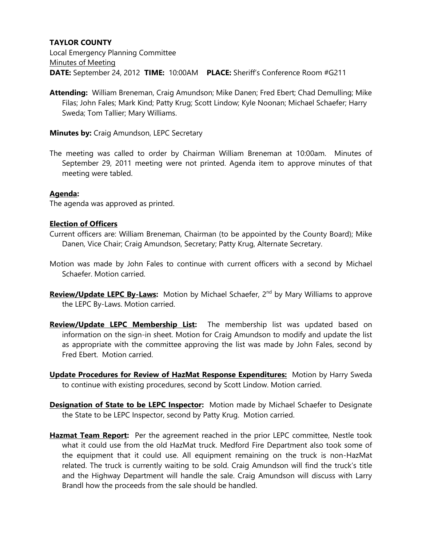## **TAYLOR COUNTY**

Local Emergency Planning Committee Minutes of Meeting **DATE:** September 24, 2012 **TIME:** 10:00AM **PLACE:** Sheriff's Conference Room #G211

**Attending:** William Breneman, Craig Amundson; Mike Danen; Fred Ebert; Chad Demulling; Mike Filas; John Fales; Mark Kind; Patty Krug; Scott Lindow; Kyle Noonan; Michael Schaefer; Harry Sweda; Tom Tallier; Mary Williams.

**Minutes by:** Craig Amundson, LEPC Secretary

The meeting was called to order by Chairman William Breneman at 10:00am. Minutes of September 29, 2011 meeting were not printed. Agenda item to approve minutes of that meeting were tabled.

## **Agenda:**

The agenda was approved as printed.

## **Election of Officers**

- Current officers are: William Breneman, Chairman (to be appointed by the County Board); Mike Danen, Vice Chair; Craig Amundson, Secretary; Patty Krug, Alternate Secretary.
- Motion was made by John Fales to continue with current officers with a second by Michael Schaefer. Motion carried.
- Review/Update LEPC By-Laws: Motion by Michael Schaefer, 2<sup>nd</sup> by Mary Williams to approve the LEPC By-Laws. Motion carried.
- **Review/Update LEPC Membership List:** The membership list was updated based on information on the sign-in sheet. Motion for Craig Amundson to modify and update the list as appropriate with the committee approving the list was made by John Fales, second by Fred Ebert. Motion carried.
- **Update Procedures for Review of HazMat Response Expenditures:** Motion by Harry Sweda to continue with existing procedures, second by Scott Lindow. Motion carried.
- **Designation of State to be LEPC Inspector:** Motion made by Michael Schaefer to Designate the State to be LEPC Inspector, second by Patty Krug. Motion carried.
- **Hazmat Team Report:** Per the agreement reached in the prior LEPC committee, Nestle took what it could use from the old HazMat truck. Medford Fire Department also took some of the equipment that it could use. All equipment remaining on the truck is non-HazMat related. The truck is currently waiting to be sold. Craig Amundson will find the truck's title and the Highway Department will handle the sale. Craig Amundson will discuss with Larry Brandl how the proceeds from the sale should be handled.